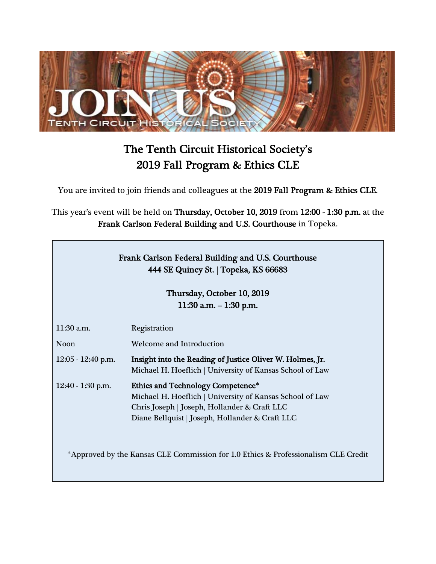

## The Tenth Circuit Historical Society's 2019 Fall Program & Ethics CLE

You are invited to join friends and colleagues at the 2019 Fall Program & Ethics CLE.

This year's event will be held on Thursday, October 10, 2019 from 12:00 - 1:30 p.m. at the Frank Carlson Federal Building and U.S. Courthouse in Topeka.

| Frank Carlson Federal Building and U.S. Courthouse |  |
|----------------------------------------------------|--|
| 444 SE Quincy St.   Topeka, KS 66683               |  |

Thursday, October 10, 2019 11:30 a.m. – 1:30 p.m.

| $11:30$ a.m.         | Registration                                                                                                                                                                                            |
|----------------------|---------------------------------------------------------------------------------------------------------------------------------------------------------------------------------------------------------|
| Noon                 | <b>Welcome and Introduction</b>                                                                                                                                                                         |
| $12:05 - 12:40$ p.m. | Insight into the Reading of Justice Oliver W. Holmes, Jr.<br>Michael H. Hoeflich   University of Kansas School of Law                                                                                   |
| $12:40 - 1:30$ p.m.  | <b>Ethics and Technology Competence*</b><br>Michael H. Hoeflich   University of Kansas School of Law<br>Chris Joseph   Joseph, Hollander & Craft LLC<br>Diane Bellquist   Joseph, Hollander & Craft LLC |
|                      | *Approved by the Kansas CLE Commission for 1.0 Ethics & Professionalism CLE Credit                                                                                                                      |